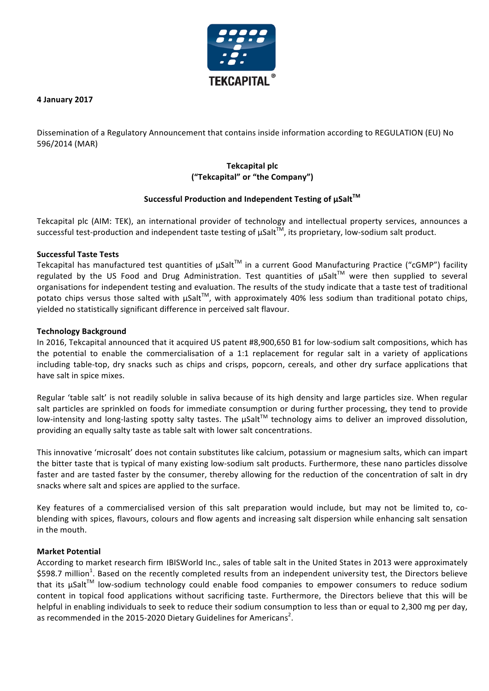

**4 January 2017**

Dissemination of a Regulatory Announcement that contains inside information according to REGULATION (EU) No 596/2014 (MAR)

# **Tekcapital plc ("Tekcapital" or "the Company")**

## Successful Production and Independent Testing of µSalt<sup>™</sup>

Tekcapital plc (AIM: TEK), an international provider of technology and intellectual property services, announces a successful test-production and independent taste testing of  $\mu$ Salt<sup>TM</sup>, its proprietary, low-sodium salt product.

## **Successful Taste Tests**

Tekcapital has manufactured test quantities of  $\mu$ Salt<sup>TM</sup> in a current Good Manufacturing Practice ("cGMP") facility regulated by the US Food and Drug Administration. Test quantities of  $\mu$ Salt<sup>TM</sup> were then supplied to several organisations for independent testing and evaluation. The results of the study indicate that a taste test of traditional potato chips versus those salted with  $\mu$ Salt<sup>™</sup>, with approximately 40% less sodium than traditional potato chips, yielded no statistically significant difference in perceived salt flavour.

#### **Technology Background**

In 2016, Tekcapital announced that it acquired US patent #8,900,650 B1 for low-sodium salt compositions, which has the potential to enable the commercialisation of a 1:1 replacement for regular salt in a variety of applications including table-top, dry snacks such as chips and crisps, popcorn, cereals, and other dry surface applications that have salt in spice mixes.

Regular 'table salt' is not readily soluble in saliva because of its high density and large particles size. When regular salt particles are sprinkled on foods for immediate consumption or during further processing, they tend to provide low-intensity and long-lasting spotty salty tastes. The  $\mu$ Salt<sup>™</sup> technology aims to deliver an improved dissolution, providing an equally salty taste as table salt with lower salt concentrations.

This innovative 'microsalt' does not contain substitutes like calcium, potassium or magnesium salts, which can impart the bitter taste that is typical of many existing low-sodium salt products. Furthermore, these nano particles dissolve faster and are tasted faster by the consumer, thereby allowing for the reduction of the concentration of salt in dry snacks where salt and spices are applied to the surface.

Key features of a commercialised version of this salt preparation would include, but may not be limited to, coblending with spices, flavours, colours and flow agents and increasing salt dispersion while enhancing salt sensation in the mouth.

## **Market Potential**

According to market research firm IBISWorld Inc., sales of table salt in the United States in 2013 were approximately \$598.7 million<sup>1</sup>. Based on the recently completed results from an independent university test, the Directors believe that its uSalt<sup>™</sup> low-sodium technology could enable food companies to empower consumers to reduce sodium content in topical food applications without sacrificing taste. Furthermore, the Directors believe that this will be helpful in enabling individuals to seek to reduce their sodium consumption to less than or equal to 2,300 mg per day, as recommended in the 2015-2020 Dietary Guidelines for Americans<sup>2</sup>.